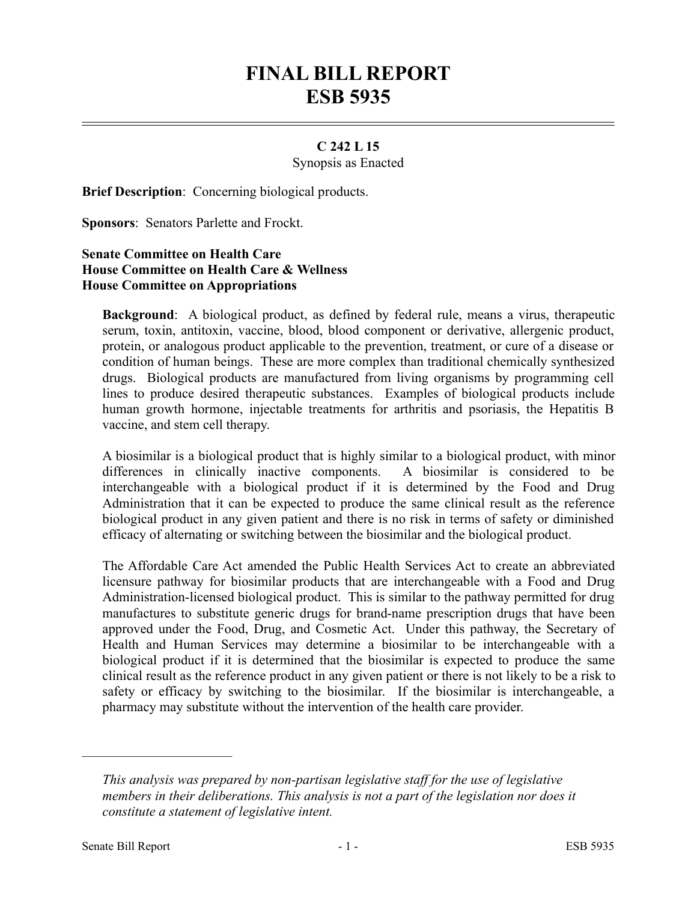## **FINAL BILL REPORT ESB 5935**

## **C 242 L 15**

Synopsis as Enacted

**Brief Description**: Concerning biological products.

**Sponsors**: Senators Parlette and Frockt.

## **Senate Committee on Health Care House Committee on Health Care & Wellness House Committee on Appropriations**

**Background**: A biological product, as defined by federal rule, means a virus, therapeutic serum, toxin, antitoxin, vaccine, blood, blood component or derivative, allergenic product, protein, or analogous product applicable to the prevention, treatment, or cure of a disease or condition of human beings. These are more complex than traditional chemically synthesized drugs. Biological products are manufactured from living organisms by programming cell lines to produce desired therapeutic substances. Examples of biological products include human growth hormone, injectable treatments for arthritis and psoriasis, the Hepatitis B vaccine, and stem cell therapy.

A biosimilar is a biological product that is highly similar to a biological product, with minor differences in clinically inactive components. A biosimilar is considered to be interchangeable with a biological product if it is determined by the Food and Drug Administration that it can be expected to produce the same clinical result as the reference biological product in any given patient and there is no risk in terms of safety or diminished efficacy of alternating or switching between the biosimilar and the biological product.

The Affordable Care Act amended the Public Health Services Act to create an abbreviated licensure pathway for biosimilar products that are interchangeable with a Food and Drug Administration-licensed biological product. This is similar to the pathway permitted for drug manufactures to substitute generic drugs for brand-name prescription drugs that have been approved under the Food, Drug, and Cosmetic Act. Under this pathway, the Secretary of Health and Human Services may determine a biosimilar to be interchangeable with a biological product if it is determined that the biosimilar is expected to produce the same clinical result as the reference product in any given patient or there is not likely to be a risk to safety or efficacy by switching to the biosimilar. If the biosimilar is interchangeable, a pharmacy may substitute without the intervention of the health care provider.

––––––––––––––––––––––

*This analysis was prepared by non-partisan legislative staff for the use of legislative members in their deliberations. This analysis is not a part of the legislation nor does it constitute a statement of legislative intent.*